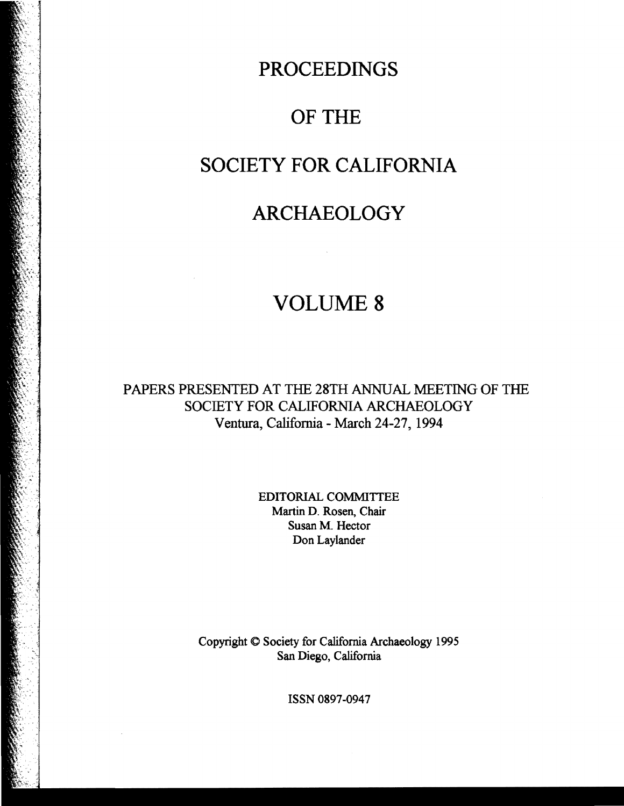## **PROCEEDINGS**

# OF THE

### **SOCIETY FOR CALIFORNIA**

## **ARCHAEOLOGY**

## VOLUME 8

PAPERS PRESENTED AT THE 28TH ANNUAL MEETING OF THE SOCIETY FOR CALIFORNIA ARCHAEOLOGY Ventura, California - March 24-27, 1994

> EDITORIAL COMMITTEE Martin D. Rosen, Chair Susan M. Hector Don Laylander

Copyright <0 Society for California Archaeology 1995 San Diego, California

ISSN 0897-0947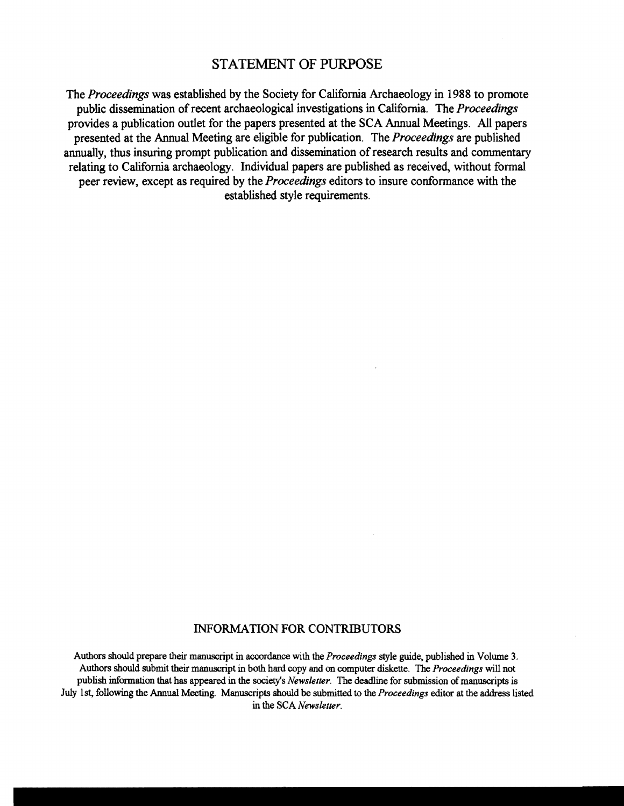#### STATEMENT OF PURPOSE

The *Proceedings* was established by the Society for California Archaeology in 1988 to promote public dissemination of recent archaeological investigations in California. The *Proceedings*  provides a publication outlet for the papers presented at the SCA Annual Meetings. All papers presented at the Annual Meeting are eligible for publication. The *Proceedings* are published annually, thus insuring prompt publication and dissemination of research results and commentary relating to California archaeology. Individual papers are published as received, without formal peer review, except as required by the *Proceedings* editors to insure conformance with the established style requirements.

#### INFORMATION FOR CONTRIBUTORS

Authors should prepare their manuscript in accordance with the *Proceedings* style guide, published in Volume 3. Authors should submit their manuscript in both hard copy and on computer diskette. The *Proceedings* will not publish information that has appeared in the sooiety's *Newsletter.* The deadline for submission of manuscripts is July 1st, following the Annual Meeting. Manuscripts should be submitted to the *Proceedings* editor at the address listed in the SCA *Newsletter*.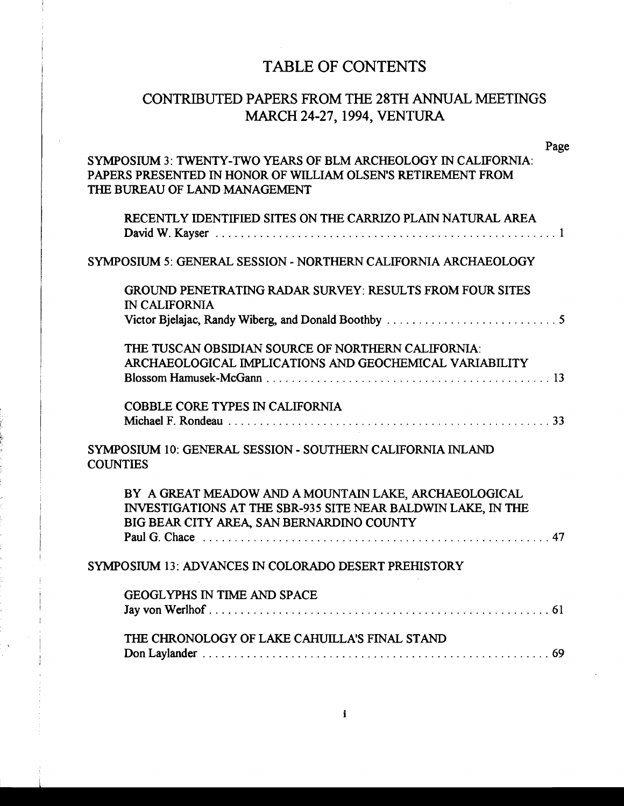### TABLE OF CONTENTS

### CONTRIBUTED PAPERS FROM THE 28TH ANNUAL MEETINGS MARCH 24-27, 1994, VENTURA

| Page                                                                                                                                                               |  |
|--------------------------------------------------------------------------------------------------------------------------------------------------------------------|--|
| SYMPOSIUM 3: TWENTY-TWO YEARS OF BLM ARCHEOLOGY IN CALIFORNIA:<br>PAPERS PRESENTED IN HONOR OF WILLIAM OLSEN'S RETIREMENT FROM<br>THE BUREAU OF LAND MANAGEMENT    |  |
| RECENTLY IDENTIFIED SITES ON THE CARRIZO PLAIN NATURAL AREA                                                                                                        |  |
| SYMPOSIUM 5: GENERAL SESSION - NORTHERN CALIFORNIA ARCHAEOLOGY                                                                                                     |  |
| <b>GROUND PENETRATING RADAR SURVEY: RESULTS FROM FOUR SITES</b><br><b>IN CALIFORNIA</b>                                                                            |  |
| THE TUSCAN OBSIDIAN SOURCE OF NORTHERN CALIFORNIA:<br>ARCHAEOLOGICAL IMPLICATIONS AND GEOCHEMICAL VARIABILITY                                                      |  |
| <b>COBBLE CORE TYPES IN CALIFORNIA</b>                                                                                                                             |  |
| SYMPOSIUM 10: GENERAL SESSION - SOUTHERN CALIFORNIA INLAND<br><b>COUNTIES</b>                                                                                      |  |
| BY A GREAT MEADOW AND A MOUNTAIN LAKE, ARCHAEOLOGICAL<br>INVESTIGATIONS AT THE SBR-935 SITE NEAR BALDWIN LAKE, IN THE<br>BIG BEAR CITY AREA, SAN BERNARDINO COUNTY |  |
| SYMPOSIUM 13: ADVANCES IN COLORADO DESERT PREHISTORY                                                                                                               |  |
| <b>GEOGLYPHS IN TIME AND SPACE</b>                                                                                                                                 |  |
| THE CHRONOLOGY OF LAKE CAHUILLA'S FINAL STAND                                                                                                                      |  |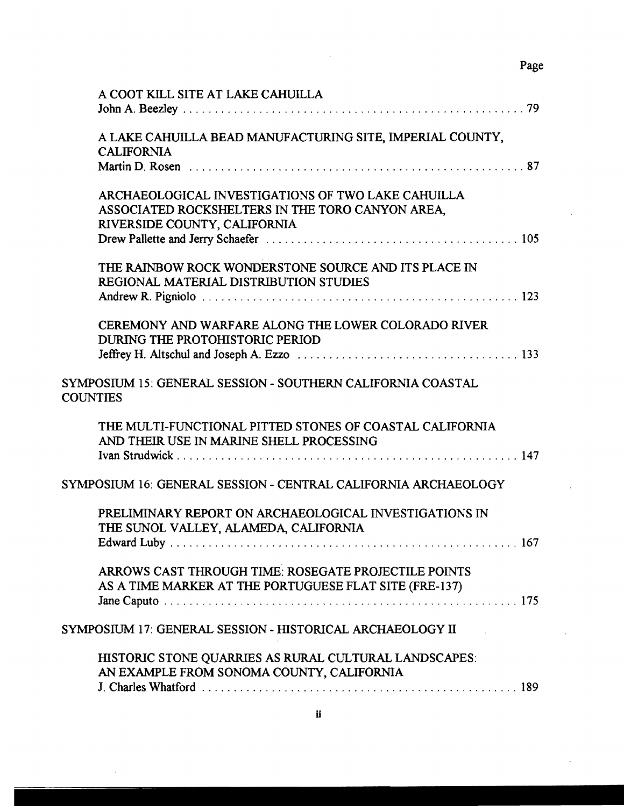$\overline{a}$ 

 $\ddot{\phantom{a}}$ 

 $\ddot{\phantom{0}}$ 

| A COOT KILL SITE AT LAKE CAHUILLA                                                                                                      |
|----------------------------------------------------------------------------------------------------------------------------------------|
| A LAKE CAHUILLA BEAD MANUFACTURING SITE, IMPERIAL COUNTY,<br><b>CALIFORNIA</b>                                                         |
|                                                                                                                                        |
| ARCHAEOLOGICAL INVESTIGATIONS OF TWO LAKE CAHUILLA<br>ASSOCIATED ROCKSHELTERS IN THE TORO CANYON AREA,<br>RIVERSIDE COUNTY, CALIFORNIA |
| THE RAINBOW ROCK WONDERSTONE SOURCE AND ITS PLACE IN<br>REGIONAL MATERIAL DISTRIBUTION STUDIES                                         |
| CEREMONY AND WARFARE ALONG THE LOWER COLORADO RIVER<br>DURING THE PROTOHISTORIC PERIOD                                                 |
| SYMPOSIUM 15: GENERAL SESSION - SOUTHERN CALIFORNIA COASTAL<br><b>COUNTIES</b>                                                         |
| THE MULTI-FUNCTIONAL PITTED STONES OF COASTAL CALIFORNIA<br>AND THEIR USE IN MARINE SHELL PROCESSING                                   |
| SYMPOSIUM 16: GENERAL SESSION - CENTRAL CALIFORNIA ARCHAEOLOGY                                                                         |
| PRELIMINARY REPORT ON ARCHAEOLOGICAL INVESTIGATIONS IN<br>THE SUNOL VALLEY, ALAMEDA, CALIFORNIA                                        |
| ARROWS CAST THROUGH TIME: ROSEGATE PROJECTILE POINTS<br>AS A TIME MARKER AT THE PORTUGUESE FLAT SITE (FRE-137)                         |
| SYMPOSIUM 17: GENERAL SESSION - HISTORICAL ARCHAEOLOGY II                                                                              |
| HISTORIC STONE QUARRIES AS RURAL CULTURAL LANDSCAPES:<br>AN EXAMPLE FROM SONOMA COUNTY, CALIFORNIA                                     |
|                                                                                                                                        |

 $\bar{\phantom{a}}$